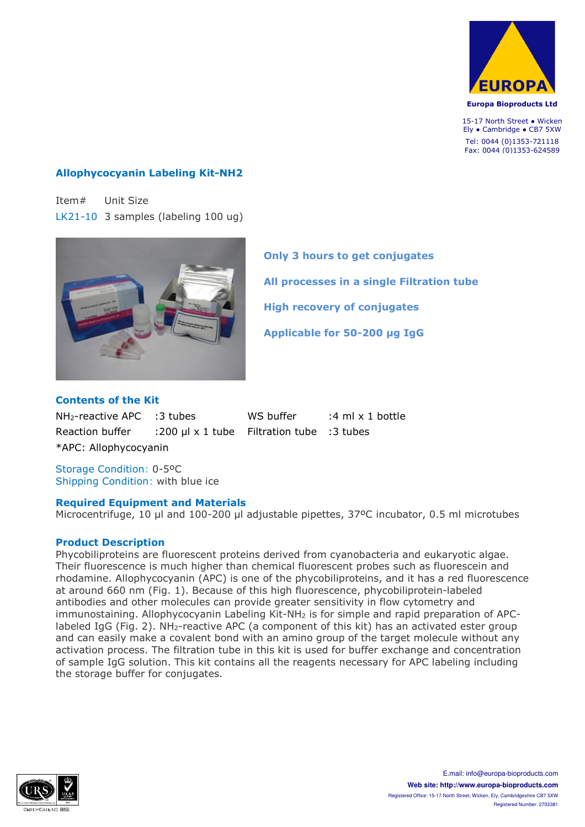

Europa Bioproducts Ltd

15-17 North Street • Wicken Ely ● Cambridge ● CB7 5XW Tel: 0044 (0)1353-721118 Fax: 0044 (0)1353-624589

## **Allophycocyanin Labeling Kit-NH2**

Item# Unit Size LK21-10 3 samples (labeling 100 ug)



**Only 3 hours to get conjugates All processes in a single Filtration tube High recovery of conjugates Applicable for 50-200 µg IgG**

### **Contents of the Kit**

 $NH_2$ -reactive APC :3 tubes WS buffer :4 ml x 1 bottle Reaction buffer :200 µl x 1 tube Filtration tube :3 tubes \*APC: Allophycocyanin

Storage Condition: 0-5ºC Shipping Condition: with blue ice

#### **Required Equipment and Materials**

Microcentrifuge, 10 µl and 100-200 µl adjustable pipettes, 37°C incubator, 0.5 ml microtubes

#### **Product Description**

Phycobiliproteins are fluorescent proteins derived from cyanobacteria and eukaryotic algae. Their fluorescence is much higher than chemical fluorescent probes such as fluorescein and rhodamine. Allophycocyanin (APC) is one of the phycobiliproteins, and it has a red fluorescence at around 660 nm (Fig. 1). Because of this high fluorescence, phycobiliprotein-labeled antibodies and other molecules can provide greater sensitivity in flow cytometry and immunostaining. Allophycocyanin Labeling Kit-NH2 is for simple and rapid preparation of APClabeled IgG (Fig. 2). NH<sub>2</sub>-reactive APC (a component of this kit) has an activated ester group and can easily make a covalent bond with an amino group of the target molecule without any activation process. The filtration tube in this kit is used for buffer exchange and concentration of sample IgG solution. This kit contains all the reagents necessary for APC labeling including the storage buffer for conjugates.